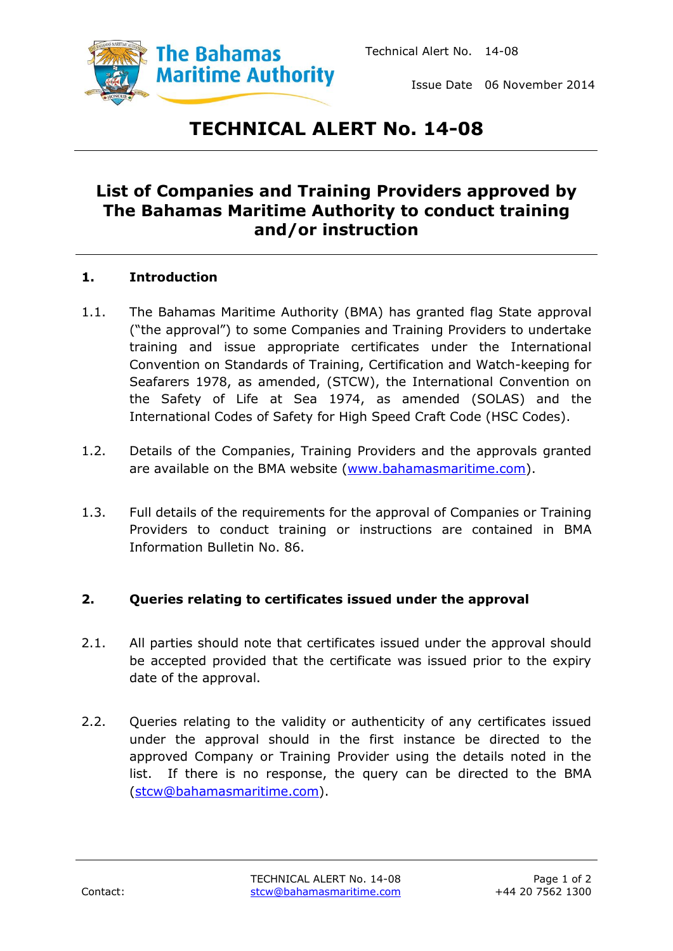

Issue Date 06 November 2014

# **TECHNICAL ALERT No. 14-08**

## **List of Companies and Training Providers approved by The Bahamas Maritime Authority to conduct training and/or instruction**

#### **1. Introduction**

- 1.1. The Bahamas Maritime Authority (BMA) has granted flag State approval ("the approval") to some Companies and Training Providers to undertake training and issue appropriate certificates under the International Convention on Standards of Training, Certification and Watch-keeping for Seafarers 1978, as amended, (STCW), the International Convention on the Safety of Life at Sea 1974, as amended (SOLAS) and the International Codes of Safety for High Speed Craft Code (HSC Codes).
- 1.2. Details of the Companies, Training Providers and the approvals granted are available on the BMA website [\(www.bahamasmaritime.com\)](http://www.bahamasmaritime.com/).
- 1.3. Full details of the requirements for the approval of Companies or Training Providers to conduct training or instructions are contained in BMA Information Bulletin No. 86.

#### **2. Queries relating to certificates issued under the approval**

- 2.1. All parties should note that certificates issued under the approval should be accepted provided that the certificate was issued prior to the expiry date of the approval.
- 2.2. Queries relating to the validity or authenticity of any certificates issued under the approval should in the first instance be directed to the approved Company or Training Provider using the details noted in the list. If there is no response, the query can be directed to the BMA [\(stcw@bahamasmaritime.com\)](mailto:stcw@bahamasmaritime.com).